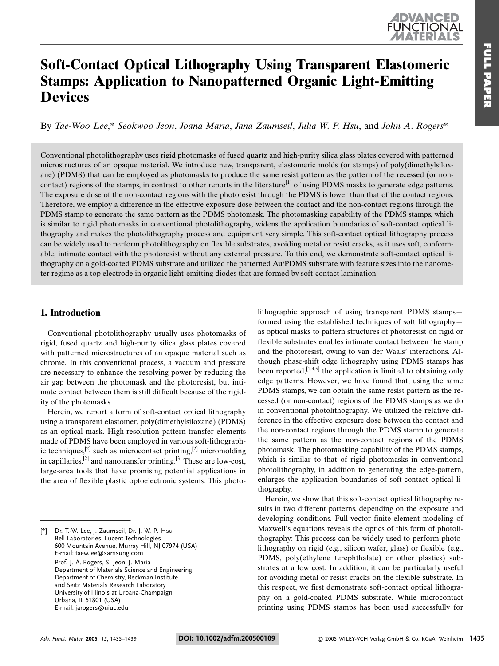# UNCHON

# **Soft-Contact Optical Lithography Using Transparent Elastomeric Stamps: Application to Nanopatterned Organic Light-Emitting Devices**

By Tae-Woo Lee.\* Seokwoo Jeon, Joana Maria, Jana Zaumseil, Julia W. P. Hsu, and John A. Rogers\*

Conventional photolithography uses rigid photomasks of fused quartz and high-purity silica glass plates covered with patterned microstructures of an opaque material. We introduce new, transparent, elastomeric molds (or stamps) of poly(dimethylsiloxane) (PDMS) that can be employed as photomasks to produce the same resist pattern as the pattern of the recessed (or noncontact) regions of the stamps, in contrast to other reports in the literature<sup>[1]</sup> of using PDMS masks to generate edge patterns. The exposure dose of the non-contact regions with the photoresist through the PDMS is lower than that of the contact regions. Therefore, we employ a difference in the effective exposure dose between the contact and the non-contact regions through the PDMS stamp to generate the same pattern as the PDMS photomask. The photomasking capability of the PDMS stamps, which is similar to rigid photomasks in conventional photolithography, widens the application boundaries of soft-contact optical lithography and makes the photolithography process and equipment very simple. This soft-contact optical lithography process can be widely used to perform photolithography on flexible substrates, avoiding metal or resist cracks, as it uses soft, conformable, intimate contact with the photoresist without any external pressure. To this end, we demonstrate soft-contact optical lithography on a gold-coated PDMS substrate and utilized the patterned Au/PDMS substrate with feature sizes into the nanometer regime as a top electrode in organic light-emitting diodes that are formed by soft-contact lamination.

### 1. Introduction

Conventional photolithography usually uses photomasks of rigid, fused quartz and high-purity silica glass plates covered with patterned microstructures of an opaque material such as chrome. In this conventional process, a vacuum and pressure are necessary to enhance the resolving power by reducing the air gap between the photomask and the photoresist, but intimate contact between them is still difficult because of the rigidity of the photomasks.

Herein, we report a form of soft-contact optical lithography using a transparent elastomer, poly(dimethylsiloxane) (PDMS) as an optical mask. High-resolution pattern-transfer elements made of PDMS have been employed in various soft-lithographic techniques,<sup>[2]</sup> such as microcontact printing,<sup>[2]</sup> micromolding in capillaries,  $^{[2]}$  and nanotransfer printing.  $^{[3]}$  These are low-cost, large-area tools that have promising potential applications in the area of flexible plastic optoelectronic systems. This photo-

Dr. T.-W. Lee, J. Zaumseil, Dr. J. W. P. Hsu  $\lceil * \rceil$ Bell Laboratories, Lucent Technologies 600 Mountain Avenue, Murray Hill, NJ 07974 (USA) E-mail: taew.lee@samsung.com Prof. J. A. Rogers, S. Jeon, J. Maria Department of Materials Science and Engineering Department of Chemistry, Beckman Institute and Seitz Materials Research Laboratory University of Illinois at Urbana-Champaign

Urbana, IL 61801 (USA) E-mail: jarogers@uiuc.edu lithographic approach of using transparent PDMS stampsformed using the established techniques of soft lithographyas optical masks to pattern structures of photoresist on rigid or flexible substrates enables intimate contact between the stamp and the photoresist, owing to van der Waals' interactions. Although phase-shift edge lithography using PDMS stamps has been reported,  $[1,4,5]$  the application is limited to obtaining only edge patterns. However, we have found that, using the same PDMS stamps, we can obtain the same resist pattern as the recessed (or non-contact) regions of the PDMS stamps as we do in conventional photolithography. We utilized the relative difference in the effective exposure dose between the contact and the non-contact regions through the PDMS stamp to generate the same pattern as the non-contact regions of the PDMS photomask. The photomasking capability of the PDMS stamps, which is similar to that of rigid photomasks in conventional photolithography, in addition to generating the edge-pattern, enlarges the application boundaries of soft-contact optical lithography.

Herein, we show that this soft-contact optical lithography results in two different patterns, depending on the exposure and developing conditions. Full-vector finite-element modeling of Maxwell's equations reveals the optics of this form of photolithography: This process can be widely used to perform photolithography on rigid (e.g., silicon wafer, glass) or flexible (e.g., PDMS, poly(ethylene terephthalate) or other plastics) substrates at a low cost. In addition, it can be particularly useful for avoiding metal or resist cracks on the flexible substrate. In this respect, we first demonstrate soft-contact optical lithography on a gold-coated PDMS substrate. While microcontact printing using PDMS stamps has been used successfully for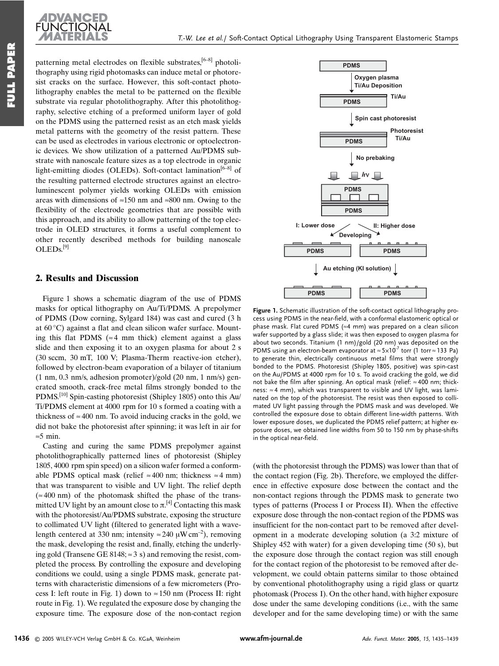

**FULL PAPER** 

patterning metal electrodes on flexible substrates,<sup>[6-8]</sup> photolithography using rigid photomasks can induce metal or photoresist cracks on the surface. However, this soft-contact photolithography enables the metal to be patterned on the flexible substrate via regular photolithography. After this photolithography, selective etching of a preformed uniform layer of gold on the PDMS using the patterned resist as an etch mask yields metal patterns with the geometry of the resist pattern. These can be used as electrodes in various electronic or optoelectronic devices. We show utilization of a patterned Au/PDMS substrate with nanoscale feature sizes as a top electrode in organic light-emitting diodes (OLEDs). Soft-contact lamination<sup>[6-8]</sup> of the resulting patterned electrode structures against an electroluminescent polymer yields working OLEDs with emission areas with dimensions of  $\approx$ 150 nm and  $\approx$ 800 nm. Owing to the flexibility of the electrode geometries that are possible with this approach, and its ability to allow patterning of the top electrode in OLED structures, it forms a useful complement to other recently described methods for building nanoscale  $OLEDs<sup>[9]</sup>$ 

#### 2. Results and Discussion

Figure 1 shows a schematic diagram of the use of PDMS masks for optical lithography on Au/Ti/PDMS. A prepolymer of PDMS (Dow corning, Sylgard 184) was cast and cured (3 h at  $60^{\circ}$ C) against a flat and clean silicon wafer surface. Mounting this flat PDMS ( $\approx$  4 mm thick) element against a glass slide and then exposing it to an oxygen plasma for about 2 s (30 sccm, 30 mT, 100 V; Plasma-Therm reactive-ion etcher), followed by electron-beam evaporation of a bilayer of titanium  $(1 \text{ nm}, 0.3 \text{ nm/s},$  adhesion promoter)/gold  $(20 \text{ nm}, 1 \text{ nm/s})$  generated smooth, crack-free metal films strongly bonded to the PDMS.<sup>[10]</sup> Spin-casting photoresist (Shipley 1805) onto this Au/ Ti/PDMS element at 4000 rpm for 10 s formed a coating with a thickness of  $\approx$  400 nm. To avoid inducing cracks in the gold, we did not bake the photoresist after spinning; it was left in air for  $\approx$ 5 min.

Casting and curing the same PDMS prepolymer against photolithographically patterned lines of photoresist (Shipley 1805, 4000 rpm spin speed) on a silicon wafer formed a conformable PDMS optical mask (relief  $\approx 400$  nm; thickness  $\approx 4$  mm) that was transparent to visible and UV light. The relief depth  $(\approx 400 \text{ nm})$  of the photomask shifted the phase of the transmitted UV light by an amount close to  $\pi$ .<sup>[4]</sup> Contacting this mask with the photoresist/Au/PDMS substrate, exposing the structure to collimated UV light (filtered to generated light with a wavelength centered at 330 nm; intensity  $\approx$  240  $\mu$ W cm<sup>-2</sup>), removing the mask, developing the resist and, finally, etching the underlying gold (Transene GE 8148;  $\approx$  3 s) and removing the resist, completed the process. By controlling the exposure and developing conditions we could, using a single PDMS mask, generate patterns with characteristic dimensions of a few micrometers (Process I: left route in Fig. 1) down to  $\approx 150$  nm (Process II: right route in Fig. 1). We regulated the exposure dose by changing the exposure time. The exposure dose of the non-contact region



Figure 1. Schematic illustration of the soft-contact optical lithography process using PDMS in the near-field, with a conformal elastomeric optical or phase mask. Flat cured PDMS ( $\approx$ 4 mm) was prepared on a clean silicon wafer supported by a glass slide; it was then exposed to oxygen plasma for about two seconds. Titanium (1 nm)/gold (20 nm) was deposited on the PDMS using an electron-beam evaporator at  $\approx$  5×10<sup>7</sup> torr (1 torr  $\approx$  133 Pa) to generate thin, electrically continuous metal films that were strongly bonded to the PDMS. Photoresist (Shipley 1805, positive) was spin-cast on the Au/PDMS at 4000 rpm for 10 s. To avoid cracking the gold, we did not bake the film after spinning. An optical mask (relief: ≈400 nm; thickness: ≈4 mm), which was transparent to visible and UV light, was laminated on the top of the photoresist. The resist was then exposed to collimated UV light passing through the PDMS mask and was developed. We controlled the exposure dose to obtain different line-width patterns. With lower exposure doses, we duplicated the PDMS relief pattern; at higher exposure doses, we obtained line widths from 50 to 150 nm by phase-shifts in the optical near-field.

(with the photoresist through the PDMS) was lower than that of the contact region (Fig. 2b). Therefore, we employed the difference in effective exposure dose between the contact and the non-contact regions through the PDMS mask to generate two types of patterns (Process I or Process II). When the effective exposure dose through the non-contact region of the PDMS was insufficient for the non-contact part to be removed after development in a moderate developing solution (a 3:2 mixture of Shipley 452 with water) for a given developing time (50 s), but the exposure dose through the contact region was still enough for the contact region of the photoresist to be removed after development, we could obtain patterns similar to those obtained by conventional photolithography using a rigid glass or quartz photomask (Process I). On the other hand, with higher exposure dose under the same developing conditions (i.e., with the same developer and for the same developing time) or with the same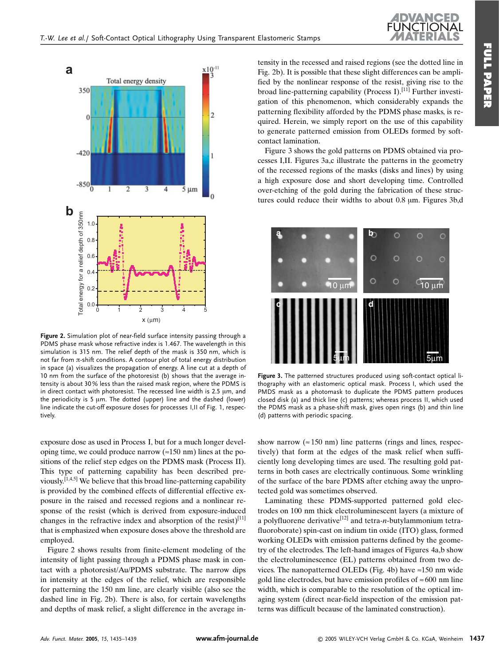

Figure 2. Simulation plot of near-field surface intensity passing through a PDMS phase mask whose refractive index is 1.467. The wavelength in this simulation is 315 nm. The relief depth of the mask is 350 nm, which is not far from  $\pi$ -shift conditions. A contour plot of total energy distribution in space (a) visualizes the propagation of energy. A line cut at a depth of 10 nm from the surface of the photoresist (b) shows that the average intensity is about 30% less than the raised mask region, where the PDMS is in direct contact with photoresist. The recessed line width is  $2.5 \mu m$ , and the periodicity is 5 um. The dotted (upper) line and the dashed (lower) line indicate the cut-off exposure doses for processes I, II of Fig. 1, respectively.

exposure dose as used in Process I, but for a much longer developing time, we could produce narrow  $(\approx 150 \text{ nm})$  lines at the positions of the relief step edges on the PDMS mask (Process II). This type of patterning capability has been described previously.<sup>[1,4,5]</sup> We believe that this broad line-patterning capability is provided by the combined effects of differential effective exposure in the raised and recessed regions and a nonlinear response of the resist (which is derived from exposure-induced changes in the refractive index and absorption of the resist)<sup>[11]</sup> that is emphasized when exposure doses above the threshold are employed.

Figure 2 shows results from finite-element modeling of the intensity of light passing through a PDMS phase mask in contact with a photoresist/Au/PDMS substrate. The narrow dips in intensity at the edges of the relief, which are responsible for patterning the 150 nm line, are clearly visible (also see the dashed line in Fig. 2b). There is also, for certain wavelengths and depths of mask relief, a slight difference in the average intensity in the recessed and raised regions (see the dotted line in Fig. 2b). It is possible that these slight differences can be amplified by the nonlinear response of the resist, giving rise to the broad line-patterning capability (Process I).<sup>[11]</sup> Further investigation of this phenomenon, which considerably expands the patterning flexibility afforded by the PDMS phase masks, is required. Herein, we simply report on the use of this capability to generate patterned emission from OLEDs formed by softcontact lamination.

Figure 3 shows the gold patterns on PDMS obtained via processes I,II. Figures 3a,c illustrate the patterns in the geometry of the recessed regions of the masks (disks and lines) by using a high exposure dose and short developing time. Controlled over-etching of the gold during the fabrication of these structures could reduce their widths to about 0.8 um. Figures 3b.d



Figure 3. The patterned structures produced using soft-contact optical lithography with an elastomeric optical mask. Process I, which used the PMDS mask as a photomask to duplicate the PDMS pattern produces closed disk (a) and thick line (c) patterns; whereas process II, which used the PDMS mask as a phase-shift mask, gives open rings (b) and thin line (d) patterns with periodic spacing.

show narrow ( $\approx$  150 nm) line patterns (rings and lines, respectively) that form at the edges of the mask relief when sufficiently long developing times are used. The resulting gold patterns in both cases are electrically continuous. Some wrinkling of the surface of the bare PDMS after etching away the unprotected gold was sometimes observed.

Laminating these PDMS-supported patterned gold electrodes on 100 nm thick electroluminescent layers (a mixture of a polyfluorene derivative<sup>[12]</sup> and tetra-*n*-butylammonium tetrafluoroborate) spin-cast on indium tin oxide (ITO) glass, formed working OLEDs with emission patterns defined by the geometry of the electrodes. The left-hand images of Figures 4a,b show the electroluminescence (EL) patterns obtained from two devices. The nanopatterned OLEDs (Fig. 4b) have  $\approx$  150 nm wide gold line electrodes, but have emission profiles of  $\approx 600$  nm line width, which is comparable to the resolution of the optical imaging system (direct near-field inspection of the emission patterns was difficult because of the laminated construction).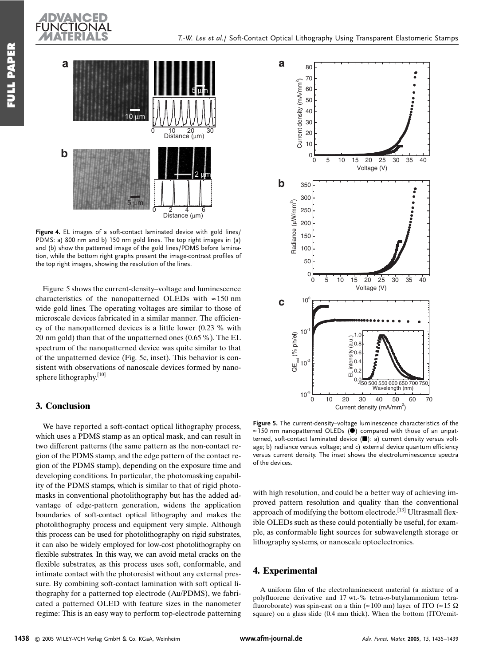

Figure 4. EL images of a soft-contact laminated device with gold lines/ PDMS: a) 800 nm and b) 150 nm gold lines. The top right images in (a) and (b) show the patterned image of the gold lines/PDMS before lamination, while the bottom right graphs present the image-contrast profiles of the top right images, showing the resolution of the lines.

Figure 5 shows the current-density–voltage and luminescence characteristics of the nanopatterned OLEDs with  $\approx 150$  nm wide gold lines. The operating voltages are similar to those of microscale devices fabricated in a similar manner. The efficiency of the nanopatterned devices is a little lower  $(0.23 \, % \,$  with 20 nm gold) than that of the unpatterned ones  $(0.65\%)$ . The EL spectrum of the nanopatterned device was quite similar to that of the unpatterned device (Fig. 5c, inset). This behavior is consistent with observations of nanoscale devices formed by nanosphere lithography.<sup>[10]</sup>

#### 3. Conclusion

We have reported a soft-contact optical lithography process, which uses a PDMS stamp as an optical mask, and can result in two different patterns (the same pattern as the non-contact region of the PDMS stamp, and the edge pattern of the contact region of the PDMS stamp), depending on the exposure time and developing conditions. In particular, the photomasking capability of the PDMS stamps, which is similar to that of rigid photomasks in conventional photolithography but has the added advantage of edge-pattern generation, widens the application boundaries of soft-contact optical lithography and makes the photolithography process and equipment very simple. Although this process can be used for photolithography on rigid substrates, it can also be widely employed for low-cost photolithography on flexible substrates. In this way, we can avoid metal cracks on the flexible substrates, as this process uses soft, conformable, and intimate contact with the photoresist without any external pressure. By combining soft-contact lamination with soft optical lithography for a patterned top electrode (Au/PDMS), we fabricated a patterned OLED with feature sizes in the nanometer regime: This is an easy way to perform top-electrode patterning



Figure 5. The current-density-voltage luminescence characteristics of the  $\approx$  150 nm nanopatterned OLEDs ( $\bullet$ ) compared with those of an unpatterned, soft-contact laminated device ( $\blacksquare$ ): a) current density versus voltage; b) radiance versus voltage; and c) external device quantum efficiency versus current density. The inset shows the electroluminescence spectra of the devices.

with high resolution, and could be a better way of achieving improved pattern resolution and quality than the conventional approach of modifying the bottom electrode.<sup>[13]</sup> Ultrasmall flexible OLEDs such as these could potentially be useful, for example, as conformable light sources for subwavelength storage or lithography systems, or nanoscale optoelectronics.

## 4. Experimental

A uniform film of the electroluminescent material (a mixture of a polyfluorene derivative and 17 wt.-% tetra-n-butylammonium tetrafluoroborate) was spin-cast on a thin ( $\approx 100$  nm) layer of ITO ( $\approx 15$   $\Omega$ square) on a glass slide (0.4 mm thick). When the bottom (ITO/emit-